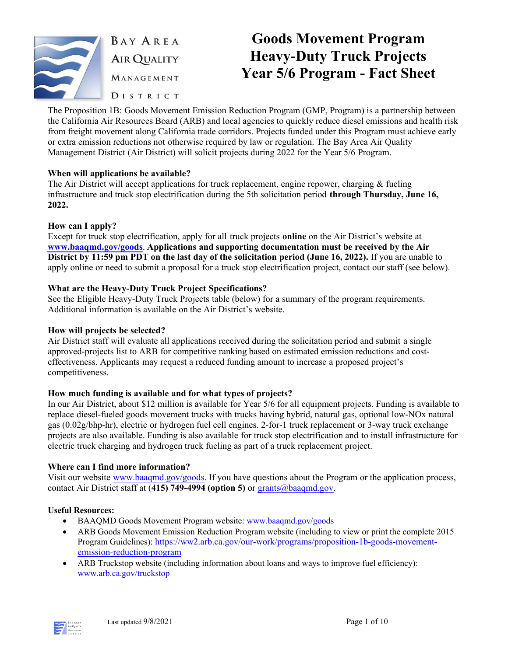

**BAY AREA AIR QUALITY** MANAGEMENT DISTRICT

# Goods Movement Program Heavy-Duty Truck Projects Year 5/6 Program - Fact Sheet

The Proposition 1B: Goods Movement Emission Reduction Program (GMP, Program) is a partnership between the California Air Resources Board (ARB) and local agencies to quickly reduce diesel emissions and health risk from freight movement along California trade corridors. Projects funded under this Program must achieve early or extra emission reductions not otherwise required by law or regulation. The Bay Area Air Quality Management District (Air District) will solicit projects during 2022 for the Year 5/6 Program.

### When will applications be available?

The Air District will accept applications for truck replacement, engine repower, charging & fueling infrastructure and truck stop electrification during the 5th solicitation period through Thursday, **June 16, 2022**.

### How can I apply?

Except for truck stop electrification, apply for all truck projects online on the Air District's website at www.baaqmd.gov/goods. Applications and supporting documentation must be received by the Air District by 11:59 pm PDT on the last day of the solicitation period (**June 16, 2022**). If you are unable to apply online or need to submit a proposal for a truck stop electrification project, contact our staff (see below).

### What are the Heavy-Duty Truck Project Specifications?

See the Eligible Heavy-Duty Truck Projects table (below) for a summary of the program requirements. Additional information is available on the Air District's website.

### How will projects be selected?

Air District staff will evaluate all applications received during the solicitation period and submit a single approved-projects list to ARB for competitive ranking based on estimated emission reductions and costeffectiveness. Applicants may request a reduced funding amount to increase a proposed project's competitiveness.

### How much funding is available and for what types of projects?

In our Air District, about \$12 million is available for Year 5/6 for all equipment projects. Funding is available to replace diesel-fueled goods movement trucks with trucks having hybrid, natural gas, optional low-NOx natural gas (0.02g/bhp-hr), electric or hydrogen fuel cell engines. 2-for-1 truck replacement or 3-way truck exchange projects are also available. Funding is also available for truck stop electrification and to install infrastructure for electric truck charging and hydrogen truck fueling as part of a truck replacement project.

### Where can I find more information?

Visit our website www.baaqmd.gov/goods. If you have questions about the Program or the application process, contact Air District staff at (415) 749-4994 (option **5**) or grants@baaqmd.gov.

### Useful Resources:

- BAAQMD Goods Movement Program website: www.baaqmd.gov/goods
- ARB Goods Movement Emission Reduction Program website (including to view or print the complete 2015 Program Guidelines): https://ww2.arb.ca.gov/our-work/programs/proposition-1b-goods-movementemission-reduction-program
- ARB Truckstop website (including information about loans and ways to improve fuel efficiency): www.arb.ca.gov/truckstop

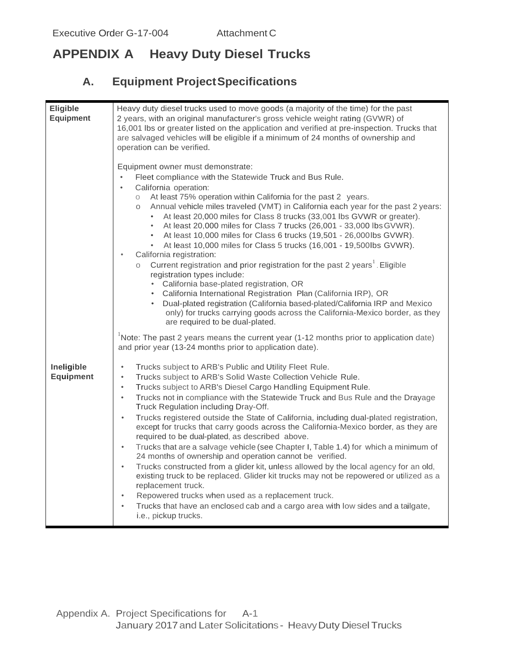# **APPENDIX A Heavy Duty Diesel Trucks**

# **A. Equipment ProjectSpecifications**

| <b>Eligible</b>                | Heavy duty diesel trucks used to move goods (a majority of the time) for the past                                                                                                                                                                                                                                                                                                                                                                                                                                                                                                                                                                                                                                                                                                                                                                                                                                                                                                                                                                                                           |
|--------------------------------|---------------------------------------------------------------------------------------------------------------------------------------------------------------------------------------------------------------------------------------------------------------------------------------------------------------------------------------------------------------------------------------------------------------------------------------------------------------------------------------------------------------------------------------------------------------------------------------------------------------------------------------------------------------------------------------------------------------------------------------------------------------------------------------------------------------------------------------------------------------------------------------------------------------------------------------------------------------------------------------------------------------------------------------------------------------------------------------------|
| <b>Equipment</b>               | 2 years, with an original manufacturer's gross vehicle weight rating (GVWR) of<br>16,001 lbs or greater listed on the application and verified at pre-inspection. Trucks that<br>are salvaged vehicles will be eligible if a minimum of 24 months of ownership and<br>operation can be verified.                                                                                                                                                                                                                                                                                                                                                                                                                                                                                                                                                                                                                                                                                                                                                                                            |
|                                | Equipment owner must demonstrate:<br>Fleet compliance with the Statewide Truck and Bus Rule.<br>California operation:<br>$\bullet$<br>At least 75% operation within California for the past 2 years.<br>$\circ$<br>Annual vehicle miles traveled (VMT) in California each year for the past 2 years:<br>O                                                                                                                                                                                                                                                                                                                                                                                                                                                                                                                                                                                                                                                                                                                                                                                   |
|                                | At least 20,000 miles for Class 8 trucks (33,001 lbs GVWR or greater).<br>$\bullet$<br>At least 20,000 miles for Class 7 trucks (26,001 - 33,000 lbs GVWR).<br>At least 10,000 miles for Class 6 trucks (19,501 - 26,000lbs GVWR).<br>$\bullet$<br>At least 10,000 miles for Class 5 trucks (16,001 - 19,500lbs GVWR).<br>$\bullet$<br>California registration:<br>$\bullet$                                                                                                                                                                                                                                                                                                                                                                                                                                                                                                                                                                                                                                                                                                                |
|                                | Current registration and prior registration for the past 2 years <sup>1</sup> . Eligible<br>registration types include:<br>California base-plated registration, OR                                                                                                                                                                                                                                                                                                                                                                                                                                                                                                                                                                                                                                                                                                                                                                                                                                                                                                                          |
|                                | • California International Registration Plan (California IRP), OR<br>Dual-plated registration (California based-plated/California IRP and Mexico<br>only) for trucks carrying goods across the California-Mexico border, as they<br>are required to be dual-plated.                                                                                                                                                                                                                                                                                                                                                                                                                                                                                                                                                                                                                                                                                                                                                                                                                         |
|                                | Note: The past 2 years means the current year $(1-12 \text{ months prior to application date})$<br>and prior year (13-24 months prior to application date).                                                                                                                                                                                                                                                                                                                                                                                                                                                                                                                                                                                                                                                                                                                                                                                                                                                                                                                                 |
| Ineligible<br><b>Equipment</b> | $\bullet$<br>Trucks subject to ARB's Public and Utility Fleet Rule.<br>Trucks subject to ARB's Solid Waste Collection Vehicle Rule.<br>$\bullet$<br>Trucks subject to ARB's Diesel Cargo Handling Equipment Rule.<br>$\bullet$<br>Trucks not in compliance with the Statewide Truck and Bus Rule and the Drayage<br>$\bullet$<br>Truck Regulation including Dray-Off.<br>Trucks registered outside the State of California, including dual-plated registration,<br>$\bullet$<br>except for trucks that carry goods across the California-Mexico border, as they are<br>required to be dual-plated, as described above.<br>Trucks that are a salvage vehicle (see Chapter I, Table 1.4) for which a minimum of<br>$\bullet$<br>24 months of ownership and operation cannot be verified.<br>Trucks constructed from a glider kit, unless allowed by the local agency for an old,<br>$\bullet$<br>existing truck to be replaced. Glider kit trucks may not be repowered or utilized as a<br>replacement truck.<br>Repowered trucks when used as a replacement truck.<br>$\bullet$<br>$\bullet$ |
|                                | Trucks that have an enclosed cab and a cargo area with low sides and a tailgate,<br>i.e., pickup trucks.                                                                                                                                                                                                                                                                                                                                                                                                                                                                                                                                                                                                                                                                                                                                                                                                                                                                                                                                                                                    |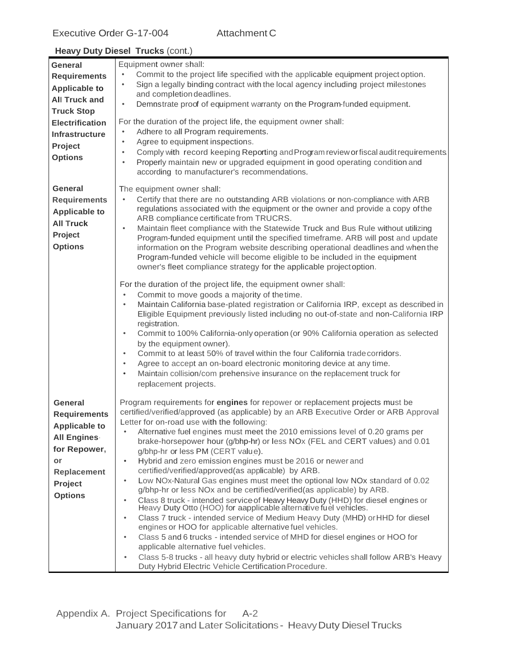| General                                                                                                        | Equipment owner shall:                                                                                                                                                                                                                                                                                                                                                                                                                                                                                                                                                                                             |
|----------------------------------------------------------------------------------------------------------------|--------------------------------------------------------------------------------------------------------------------------------------------------------------------------------------------------------------------------------------------------------------------------------------------------------------------------------------------------------------------------------------------------------------------------------------------------------------------------------------------------------------------------------------------------------------------------------------------------------------------|
| <b>Requirements</b>                                                                                            | Commit to the project life specified with the applicable equipment project option.<br>Sign a legally binding contract with the local agency including project milestones<br>$\bullet$                                                                                                                                                                                                                                                                                                                                                                                                                              |
| <b>Applicable to</b>                                                                                           | and completion deadlines.                                                                                                                                                                                                                                                                                                                                                                                                                                                                                                                                                                                          |
| <b>All Truck and</b>                                                                                           | Demnstrate proof of equipment warranty on the Program-funded equipment.<br>$\bullet$                                                                                                                                                                                                                                                                                                                                                                                                                                                                                                                               |
| <b>Truck Stop</b>                                                                                              |                                                                                                                                                                                                                                                                                                                                                                                                                                                                                                                                                                                                                    |
| <b>Electrification</b>                                                                                         | For the duration of the project life, the equipment owner shall:<br>Adhere to all Program requirements.<br>$\bullet$                                                                                                                                                                                                                                                                                                                                                                                                                                                                                               |
| <b>Infrastructure</b>                                                                                          | Agree to equipment inspections.<br>$\bullet$                                                                                                                                                                                                                                                                                                                                                                                                                                                                                                                                                                       |
| Project<br><b>Options</b>                                                                                      | Comply with record keeping Reporting and Program review or fiscal audit requirements.<br>$\bullet$<br>Properly maintain new or upgraded equipment in good operating condition and<br>$\bullet$                                                                                                                                                                                                                                                                                                                                                                                                                     |
|                                                                                                                | according to manufacturer's recommendations.                                                                                                                                                                                                                                                                                                                                                                                                                                                                                                                                                                       |
| <b>General</b><br><b>Requirements</b><br><b>Applicable to</b><br><b>All Truck</b><br>Project<br><b>Options</b> | The equipment owner shall:<br>Certify that there are no outstanding ARB violations or non-compliance with ARB<br>$\bullet$<br>regulations associated with the equipment or the owner and provide a copy of the<br>ARB compliance certificate from TRUCRS.<br>Maintain fleet compliance with the Statewide Truck and Bus Rule without utilizing<br>$\bullet$<br>Program-funded equipment until the specified timeframe. ARB will post and update<br>information on the Program website describing operational deadlines and when the<br>Program-funded vehicle will become eligible to be included in the equipment |
|                                                                                                                | owner's fleet compliance strategy for the applicable project option.                                                                                                                                                                                                                                                                                                                                                                                                                                                                                                                                               |
|                                                                                                                | For the duration of the project life, the equipment owner shall:<br>Commit to move goods a majority of the time.<br>$\bullet$<br>Maintain California base-plated registration or California IRP, except as described in<br>$\bullet$<br>Eligible Equipment previously listed including no out-of-state and non-California IRP                                                                                                                                                                                                                                                                                      |
|                                                                                                                | registration.<br>Commit to 100% California-only operation (or 90% California operation as selected<br>$\bullet$<br>by the equipment owner).<br>Commit to at least 50% of travel within the four California trade corridors.<br>$\bullet$<br>Agree to accept an on-board electronic monitoring device at any time.<br>$\bullet$<br>Maintain collision/com prehensive insurance on the replacement truck for<br>$\bullet$<br>replacement projects.                                                                                                                                                                   |
| General                                                                                                        | Program requirements for engines for repower or replacement projects must be                                                                                                                                                                                                                                                                                                                                                                                                                                                                                                                                       |
| <b>Requirements</b>                                                                                            | certified/verified/approved (as applicable) by an ARB Executive Order or ARB Approval<br>Letter for on-road use with the following:                                                                                                                                                                                                                                                                                                                                                                                                                                                                                |
| <b>Applicable to</b><br><b>All Engines</b>                                                                     | Alternative fuel engines must meet the 2010 emissions level of 0.20 grams per                                                                                                                                                                                                                                                                                                                                                                                                                                                                                                                                      |
|                                                                                                                | brake-horsepower hour (g/bhp-hr) or less NOx (FEL and CERT values) and 0.01                                                                                                                                                                                                                                                                                                                                                                                                                                                                                                                                        |
| for Repower,                                                                                                   | g/bhp-hr or less PM (CERT value).                                                                                                                                                                                                                                                                                                                                                                                                                                                                                                                                                                                  |
| or<br>Replacement                                                                                              | Hybrid and zero emission engines must be 2016 or newer and<br>$\bullet$<br>certified/verified/approved(as applicable) by ARB.                                                                                                                                                                                                                                                                                                                                                                                                                                                                                      |
| Project                                                                                                        | Low NOx-Natural Gas engines must meet the optional low NOx standard of 0.02<br>$\bullet$                                                                                                                                                                                                                                                                                                                                                                                                                                                                                                                           |
| <b>Options</b>                                                                                                 | g/bhp-hr or less NOx and be certified/verified(as applicable) by ARB.                                                                                                                                                                                                                                                                                                                                                                                                                                                                                                                                              |
|                                                                                                                | Class 8 truck - intended service of Heavy Heavy Duty (HHD) for diesel engines or Heavy Duty Otto (HOO) for aapplicable alternative fuel vehicles.<br>$\bullet$                                                                                                                                                                                                                                                                                                                                                                                                                                                     |
|                                                                                                                | Class 7 truck - intended service of Medium Heavy Duty (MHD) or HHD for diesel<br>$\bullet$                                                                                                                                                                                                                                                                                                                                                                                                                                                                                                                         |
|                                                                                                                | engines or HOO for applicable alternative fuel vehicles.                                                                                                                                                                                                                                                                                                                                                                                                                                                                                                                                                           |
|                                                                                                                | Class 5 and 6 trucks - intended service of MHD for diesel engines or HOO for<br>$\bullet$<br>applicable alternative fuel vehicles.                                                                                                                                                                                                                                                                                                                                                                                                                                                                                 |
|                                                                                                                | Class 5-8 trucks - all heavy duty hybrid or electric vehicles shall follow ARB's Heavy<br>$\bullet$                                                                                                                                                                                                                                                                                                                                                                                                                                                                                                                |
|                                                                                                                | Duty Hybrid Electric Vehicle Certification Procedure.                                                                                                                                                                                                                                                                                                                                                                                                                                                                                                                                                              |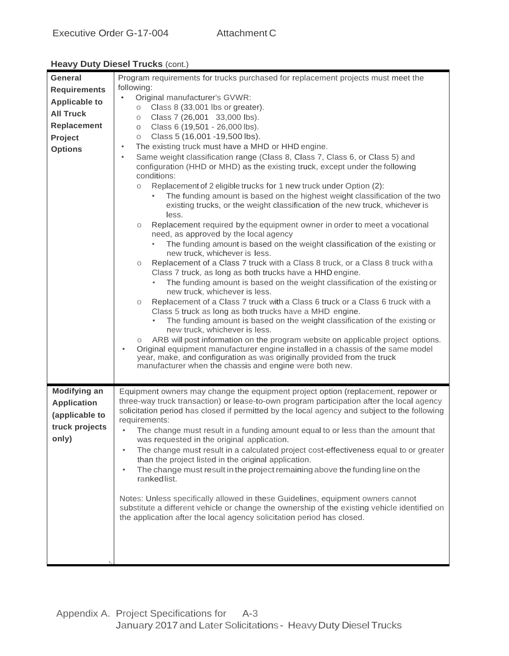| General                                                     | Program requirements for trucks purchased for replacement projects must meet the                                                                                                                                                                                                                                                                                                                                                                                                                                                                                                                                                                                                                                                                                                                                                                                                                                                                                                                                                                                                                                                                                                                                                                                                                                                                                                                                                                                                                                                                                            |
|-------------------------------------------------------------|-----------------------------------------------------------------------------------------------------------------------------------------------------------------------------------------------------------------------------------------------------------------------------------------------------------------------------------------------------------------------------------------------------------------------------------------------------------------------------------------------------------------------------------------------------------------------------------------------------------------------------------------------------------------------------------------------------------------------------------------------------------------------------------------------------------------------------------------------------------------------------------------------------------------------------------------------------------------------------------------------------------------------------------------------------------------------------------------------------------------------------------------------------------------------------------------------------------------------------------------------------------------------------------------------------------------------------------------------------------------------------------------------------------------------------------------------------------------------------------------------------------------------------------------------------------------------------|
| <b>Requirements</b>                                         | following:                                                                                                                                                                                                                                                                                                                                                                                                                                                                                                                                                                                                                                                                                                                                                                                                                                                                                                                                                                                                                                                                                                                                                                                                                                                                                                                                                                                                                                                                                                                                                                  |
| <b>Applicable to</b>                                        | Original manufacturer's GVWR:<br>$\bullet$                                                                                                                                                                                                                                                                                                                                                                                                                                                                                                                                                                                                                                                                                                                                                                                                                                                                                                                                                                                                                                                                                                                                                                                                                                                                                                                                                                                                                                                                                                                                  |
| <b>All Truck</b>                                            | Class 8 (33,001 lbs or greater).<br>$\circ$                                                                                                                                                                                                                                                                                                                                                                                                                                                                                                                                                                                                                                                                                                                                                                                                                                                                                                                                                                                                                                                                                                                                                                                                                                                                                                                                                                                                                                                                                                                                 |
| Replacement                                                 | Class 7 (26,001 33,000 lbs).<br>O<br>Class 6 (19,501 - 26,000 lbs).<br>$\circ$                                                                                                                                                                                                                                                                                                                                                                                                                                                                                                                                                                                                                                                                                                                                                                                                                                                                                                                                                                                                                                                                                                                                                                                                                                                                                                                                                                                                                                                                                              |
| Project                                                     | Class 5 (16,001 - 19,500 lbs).<br>$\circ$                                                                                                                                                                                                                                                                                                                                                                                                                                                                                                                                                                                                                                                                                                                                                                                                                                                                                                                                                                                                                                                                                                                                                                                                                                                                                                                                                                                                                                                                                                                                   |
|                                                             | The existing truck must have a MHD or HHD engine.<br>$\bullet$                                                                                                                                                                                                                                                                                                                                                                                                                                                                                                                                                                                                                                                                                                                                                                                                                                                                                                                                                                                                                                                                                                                                                                                                                                                                                                                                                                                                                                                                                                              |
| <b>Options</b>                                              | Same weight classification range (Class 8, Class 7, Class 6, or Class 5) and<br>$\bullet$<br>configuration (HHD or MHD) as the existing truck, except under the following<br>conditions:<br>Replacement of 2 eligible trucks for 1 new truck under Option (2):<br>$\circ$<br>The funding amount is based on the highest weight classification of the two<br>existing trucks, or the weight classification of the new truck, whichever is<br>less.<br>Replacement required by the equipment owner in order to meet a vocational<br>0<br>need, as approved by the local agency<br>The funding amount is based on the weight classification of the existing or<br>new truck, whichever is less.<br>Replacement of a Class 7 truck with a Class 8 truck, or a Class 8 truck with a<br>О<br>Class 7 truck, as long as both trucks have a HHD engine.<br>The funding amount is based on the weight classification of the existing or<br>$\bullet$<br>new truck, whichever is less.<br>Replacement of a Class 7 truck with a Class 6 truck or a Class 6 truck with a<br>O<br>Class 5 truck as long as both trucks have a MHD engine.<br>The funding amount is based on the weight classification of the existing or<br>new truck, whichever is less.<br>ARB will post information on the program website on applicable project options.<br>0<br>Original equipment manufacturer engine installed in a chassis of the same model<br>$\bullet$<br>year, make, and configuration as was originally provided from the truck<br>manufacturer when the chassis and engine were both new. |
| <b>Modifying an</b><br><b>Application</b><br>(applicable to | Equipment owners may change the equipment project option (replacement, repower or<br>three-way truck transaction) or lease-to-own program participation after the local agency<br>solicitation period has closed if permitted by the local agency and subject to the following<br>requirements:                                                                                                                                                                                                                                                                                                                                                                                                                                                                                                                                                                                                                                                                                                                                                                                                                                                                                                                                                                                                                                                                                                                                                                                                                                                                             |
| truck projects<br>only)                                     | The change must result in a funding amount equal to or less than the amount that<br>was requested in the original application.<br>The change must result in a calculated project cost-effectiveness equal to or greater<br>than the project listed in the original application.<br>The change must result in the project remaining above the funding line on the<br>$\bullet$<br>rankedlist.<br>Notes: Unless specifically allowed in these Guidelines, equipment owners cannot<br>substitute a different vehicle or change the ownership of the existing vehicle identified on<br>the application after the local agency solicitation period has closed.                                                                                                                                                                                                                                                                                                                                                                                                                                                                                                                                                                                                                                                                                                                                                                                                                                                                                                                   |
|                                                             |                                                                                                                                                                                                                                                                                                                                                                                                                                                                                                                                                                                                                                                                                                                                                                                                                                                                                                                                                                                                                                                                                                                                                                                                                                                                                                                                                                                                                                                                                                                                                                             |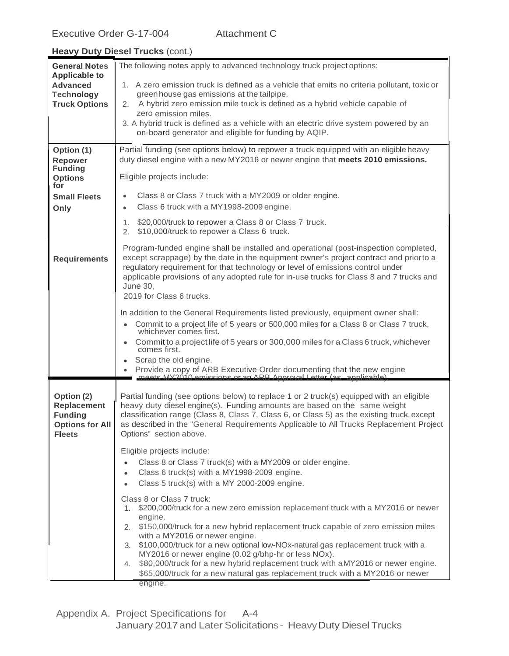| <b>General Notes</b>                                                                          | The following notes apply to advanced technology truck project options:                                                                                                                                                                                                                                                                                                                                    |
|-----------------------------------------------------------------------------------------------|------------------------------------------------------------------------------------------------------------------------------------------------------------------------------------------------------------------------------------------------------------------------------------------------------------------------------------------------------------------------------------------------------------|
| <b>Applicable to</b><br><b>Advanced</b>                                                       | 1. A zero emission truck is defined as a vehicle that emits no criteria pollutant, toxic or                                                                                                                                                                                                                                                                                                                |
| <b>Technology</b>                                                                             | green house gas emissions at the tailpipe.                                                                                                                                                                                                                                                                                                                                                                 |
| <b>Truck Options</b>                                                                          | A hybrid zero emission mile truck is defined as a hybrid vehicle capable of<br>2.                                                                                                                                                                                                                                                                                                                          |
|                                                                                               | zero emission miles.<br>3. A hybrid truck is defined as a vehicle with an electric drive system powered by an                                                                                                                                                                                                                                                                                              |
|                                                                                               | on-board generator and eligible for funding by AQIP.                                                                                                                                                                                                                                                                                                                                                       |
| Option (1)                                                                                    | Partial funding (see options below) to repower a truck equipped with an eligible heavy                                                                                                                                                                                                                                                                                                                     |
| Repower                                                                                       | duty diesel engine with a new MY2016 or newer engine that meets 2010 emissions.                                                                                                                                                                                                                                                                                                                            |
| <b>Funding</b><br><b>Options</b><br>for                                                       | Eligible projects include:                                                                                                                                                                                                                                                                                                                                                                                 |
| <b>Small Fleets</b>                                                                           | Class 8 or Class 7 truck with a MY2009 or older engine.<br>$\bullet$                                                                                                                                                                                                                                                                                                                                       |
| Only                                                                                          | Class 6 truck with a MY1998-2009 engine.<br>$\bullet$                                                                                                                                                                                                                                                                                                                                                      |
|                                                                                               | \$20,000/truck to repower a Class 8 or Class 7 truck.<br>1.<br>\$10,000/truck to repower a Class 6 truck.<br>2.                                                                                                                                                                                                                                                                                            |
| <b>Requirements</b>                                                                           | Program-funded engine shall be installed and operational (post-inspection completed,<br>except scrappage) by the date in the equipment owner's project contract and priorto a<br>regulatory requirement for that technology or level of emissions control under<br>applicable provisions of any adopted rule for in-use trucks for Class 8 and 7 trucks and<br><b>June 30,</b><br>2019 for Class 6 trucks. |
|                                                                                               | In addition to the General Requirements listed previously, equipment owner shall:                                                                                                                                                                                                                                                                                                                          |
|                                                                                               | Commit to a project life of 5 years or 500,000 miles for a Class 8 or Class 7 truck,<br>$\bullet$                                                                                                                                                                                                                                                                                                          |
|                                                                                               | whichever comes first.<br>Commit to a project life of 5 years or 300,000 miles for a Class 6 truck, whichever                                                                                                                                                                                                                                                                                              |
|                                                                                               | comes first.                                                                                                                                                                                                                                                                                                                                                                                               |
|                                                                                               | Scrap the old engine.                                                                                                                                                                                                                                                                                                                                                                                      |
|                                                                                               | Provide a copy of ARB Executive Order documenting that the new engine meets MX2010 emissions or an ARB Approval Letter (as applicable).                                                                                                                                                                                                                                                                    |
| Option (2)<br><b>Replacement</b><br><b>Funding</b><br><b>Options for All</b><br><b>Fleets</b> | Partial funding (see options below) to replace 1 or 2 truck(s) equipped with an eligible<br>heavy duty diesel engine(s). Funding amounts are based on the same weight<br>classification range (Class 8, Class 7, Class 6, or Class 5) as the existing truck, except<br>as described in the "General Requirements Applicable to All Trucks Replacement Project<br>Options" section above.                   |
|                                                                                               | Eligible projects include:                                                                                                                                                                                                                                                                                                                                                                                 |
|                                                                                               | Class 8 or Class 7 truck(s) with a MY2009 or older engine.<br>$\bullet$                                                                                                                                                                                                                                                                                                                                    |
|                                                                                               | Class 6 truck(s) with a MY1998-2009 engine.<br>$\bullet$<br>Class 5 truck(s) with a MY 2000-2009 engine.                                                                                                                                                                                                                                                                                                   |
|                                                                                               |                                                                                                                                                                                                                                                                                                                                                                                                            |
|                                                                                               | Class 8 or Class 7 truck:<br>1. \$200,000/truck for a new zero emission replacement truck with a MY2016 or newer                                                                                                                                                                                                                                                                                           |
|                                                                                               | engine.                                                                                                                                                                                                                                                                                                                                                                                                    |
|                                                                                               | 2. \$150,000/truck for a new hybrid replacement truck capable of zero emission miles<br>with a MY2016 or newer engine.                                                                                                                                                                                                                                                                                     |
|                                                                                               | 3. \$100,000/truck for a new optional low-NOx-natural gas replacement truck with a                                                                                                                                                                                                                                                                                                                         |
|                                                                                               | MY2016 or newer engine (0.02 g/bhp-hr or less NOx).<br>\$80,000/truck for a new hybrid replacement truck with a MY2016 or newer engine.<br>4.                                                                                                                                                                                                                                                              |
|                                                                                               | \$65,000/truck for a new natural gas replacement truck with a MY2016 or newer                                                                                                                                                                                                                                                                                                                              |
|                                                                                               | engine.                                                                                                                                                                                                                                                                                                                                                                                                    |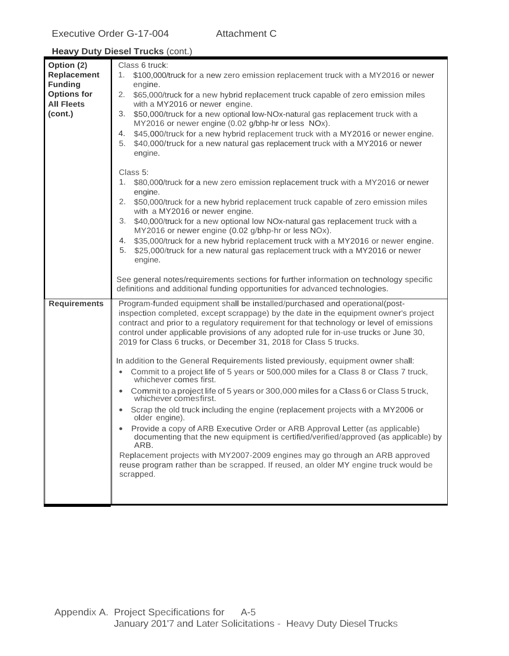| Option (2)<br>Replacement<br><b>Funding</b>        | Class 6 truck:<br>\$100,000/truck for a new zero emission replacement truck with a MY2016 or newer<br>1.<br>engine.                                                                                                                                                                                                                                                                                                                                                                                                                                                                            |
|----------------------------------------------------|------------------------------------------------------------------------------------------------------------------------------------------------------------------------------------------------------------------------------------------------------------------------------------------------------------------------------------------------------------------------------------------------------------------------------------------------------------------------------------------------------------------------------------------------------------------------------------------------|
| <b>Options for</b><br><b>All Fleets</b><br>(cont.) | 2.<br>\$65,000/truck for a new hybrid replacement truck capable of zero emission miles<br>with a MY2016 or newer engine.<br>\$50,000/truck for a new optional low-NOx-natural gas replacement truck with a<br>3.                                                                                                                                                                                                                                                                                                                                                                               |
|                                                    | MY2016 or newer engine (0.02 g/bhp-hr or less NOx).<br>\$45,000/truck for a new hybrid replacement truck with a MY2016 or newer engine.<br>4.<br>5.<br>\$40,000/truck for a new natural gas replacement truck with a MY2016 or newer                                                                                                                                                                                                                                                                                                                                                           |
|                                                    | engine.<br>Class 5:<br>1.<br>\$80,000/truck for a new zero emission replacement truck with a MY2016 or newer<br>engine.<br>2.<br>\$50,000/truck for a new hybrid replacement truck capable of zero emission miles<br>with a MY2016 or newer engine.<br>\$40,000/truck for a new optional low NOx-natural gas replacement truck with a<br>3.<br>MY2016 or newer engine (0.02 g/bhp-hr or less NOx).<br>\$35,000/truck for a new hybrid replacement truck with a MY2016 or newer engine.<br>4.<br>\$25,000/truck for a new natural gas replacement truck with a MY2016 or newer<br>5.<br>engine. |
|                                                    | See general notes/requirements sections for further information on technology specific<br>definitions and additional funding opportunities for advanced technologies.                                                                                                                                                                                                                                                                                                                                                                                                                          |
| <b>Requirements</b>                                | Program-funded equipment shall be installed/purchased and operational(post-<br>inspection completed, except scrappage) by the date in the equipment owner's project<br>contract and prior to a regulatory requirement for that technology or level of emissions<br>control under applicable provisions of any adopted rule for in-use trucks or June 30,<br>2019 for Class 6 trucks, or December 31, 2018 for Class 5 trucks.                                                                                                                                                                  |
|                                                    | In addition to the General Requirements listed previously, equipment owner shall:<br>Commit to a project life of 5 years or 500,000 miles for a Class 8 or Class 7 truck,<br>$\bullet$<br>whichever comes first.                                                                                                                                                                                                                                                                                                                                                                               |
|                                                    | Commit to a project life of 5 years or 300,000 miles for a Class 6 or Class 5 truck,<br>$\bullet$<br>whichever comesfirst.                                                                                                                                                                                                                                                                                                                                                                                                                                                                     |
|                                                    | Scrap the old truck including the engine (replacement projects with a MY2006 or<br>older engine).                                                                                                                                                                                                                                                                                                                                                                                                                                                                                              |
|                                                    | Provide a copy of ARB Executive Order or ARB Approval Letter (as applicable)<br>documenting that the new equipment is certified/verified/approved (as applicable) by<br>ARB.                                                                                                                                                                                                                                                                                                                                                                                                                   |
|                                                    | Replacement projects with MY2007-2009 engines may go through an ARB approved<br>reuse program rather than be scrapped. If reused, an older MY engine truck would be<br>scrapped.                                                                                                                                                                                                                                                                                                                                                                                                               |
|                                                    |                                                                                                                                                                                                                                                                                                                                                                                                                                                                                                                                                                                                |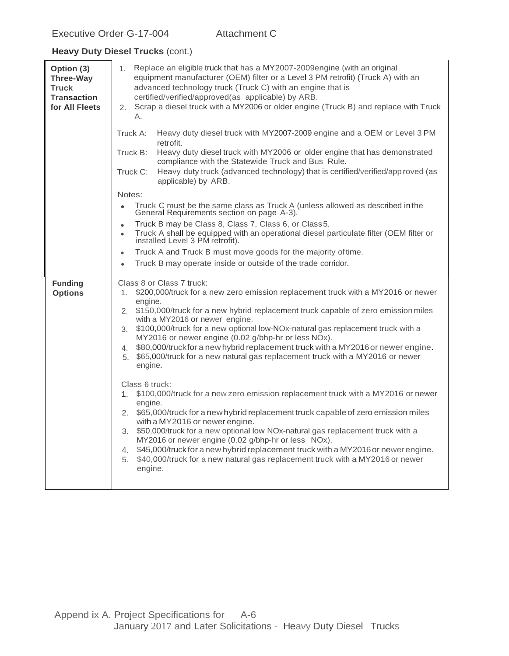| Option (3)<br><b>Three-Way</b><br><b>Truck</b><br><b>Transaction</b><br>for All Fleets | 1. Replace an eligible truck that has a MY2007-2009engine (with an original<br>equipment manufacturer (OEM) filter or a Level 3 PM retrofit) (Truck A) with an<br>advanced technology truck (Truck C) with an engine that is<br>certified/verified/approved(as applicable) by ARB.<br>Scrap a diesel truck with a MY2006 or older engine (Truck B) and replace with Truck<br>2.<br>А.                                                                                                                                                                                                                 |
|----------------------------------------------------------------------------------------|-------------------------------------------------------------------------------------------------------------------------------------------------------------------------------------------------------------------------------------------------------------------------------------------------------------------------------------------------------------------------------------------------------------------------------------------------------------------------------------------------------------------------------------------------------------------------------------------------------|
|                                                                                        | Heavy duty diesel truck with MY2007-2009 engine and a OEM or Level 3 PM<br>Truck A:<br>retrofit.<br>Heavy duty diesel truck with MY2006 or older engine that has demonstrated<br>Truck B:<br>compliance with the Statewide Truck and Bus Rule.<br>Heavy duty truck (advanced technology) that is certified/verified/app roved (as<br>Truck C:<br>applicable) by ARB.                                                                                                                                                                                                                                  |
|                                                                                        | Notes:                                                                                                                                                                                                                                                                                                                                                                                                                                                                                                                                                                                                |
|                                                                                        | Truck C must be the same class as Truck A (unless allowed as described in the<br>$\bullet$<br>General Requirements section on page A-3).                                                                                                                                                                                                                                                                                                                                                                                                                                                              |
|                                                                                        | Truck B may be Class 8, Class 7, Class 6, or Class 5.<br>$\bullet$<br>Truck A shall be equipped with an operational diesel particulate filter (OEM filter or<br>$\bullet$<br>installed Level 3 PM retrofit).                                                                                                                                                                                                                                                                                                                                                                                          |
|                                                                                        | Truck A and Truck B must move goods for the majority of time.<br>$\bullet$                                                                                                                                                                                                                                                                                                                                                                                                                                                                                                                            |
|                                                                                        | Truck B may operate inside or outside of the trade corridor.<br>$\bullet$                                                                                                                                                                                                                                                                                                                                                                                                                                                                                                                             |
| <b>Funding</b><br><b>Options</b>                                                       | Class 8 or Class 7 truck:<br>\$200,000/truck for a new zero emission replacement truck with a MY2016 or newer<br>$1_{-}$<br>engine.<br>2. \$150,000/truck for a new hybrid replacement truck capable of zero emission miles<br>with a MY2016 or newer engine.<br>3. \$100,000/truck for a new optional low-NOx-natural gas replacement truck with a<br>MY2016 or newer engine (0.02 g/bhp-hr or less NOx).<br>\$80,000/truckfor a new hybrid replacement truck with a MY2016 or newer engine.<br>4.<br>\$65,000/truck for a new natural gas replacement truck with a MY2016 or newer<br>5.<br>engine. |
|                                                                                        | Class 6 truck:<br>\$100,000/truck for a new zero emission replacement truck with a MY2016 or newer<br>$1_{\cdot}$<br>engine.<br>\$65,000/truck for a new hybrid replacement truck capable of zero emission miles<br>2.<br>with a MY2016 or newer engine.<br>3. \$50,000/truck for a new optional low NOx-natural gas replacement truck with a<br>MY2016 or newer engine (0.02 g/bhp-hr or less NOx).<br>\$45,000/truck for a new hybrid replacement truck with a MY2016 or newer engine.<br>4.<br>\$40,000/truck for a new natural gas replacement truck with a MY2016 or newer<br>5.<br>engine.      |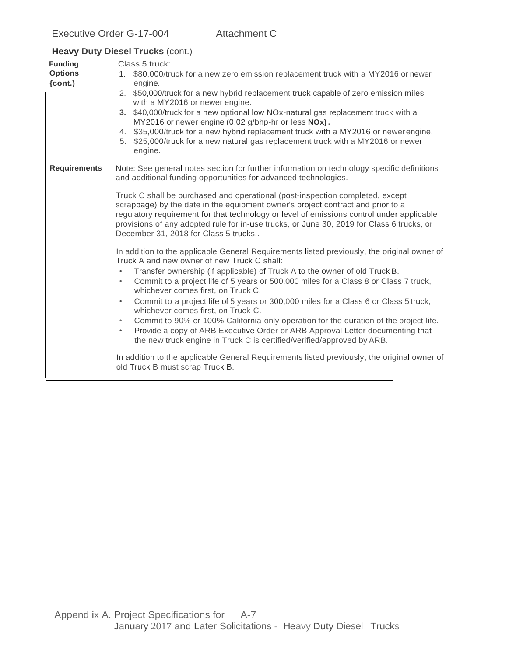| <b>Funding</b>      | Class 5 truck:                                                                                                                                                                                                                                                                                                                                                                                     |
|---------------------|----------------------------------------------------------------------------------------------------------------------------------------------------------------------------------------------------------------------------------------------------------------------------------------------------------------------------------------------------------------------------------------------------|
| <b>Options</b>      | 1. \$80,000/truck for a new zero emission replacement truck with a MY2016 or newer                                                                                                                                                                                                                                                                                                                 |
| $\{cont.\}$         | engine.                                                                                                                                                                                                                                                                                                                                                                                            |
|                     | 2. \$50,000/truck for a new hybrid replacement truck capable of zero emission miles<br>with a MY2016 or newer engine.                                                                                                                                                                                                                                                                              |
|                     | 3. \$40,000/truck for a new optional low NOx-natural gas replacement truck with a<br>MY2016 or newer engine (0.02 g/bhp-hr or less NOx).                                                                                                                                                                                                                                                           |
|                     | \$35,000/truck for a new hybrid replacement truck with a MY2016 or newerengine.<br>4.<br>5. \$25,000/truck for a new natural gas replacement truck with a MY2016 or newer<br>engine.                                                                                                                                                                                                               |
| <b>Requirements</b> | Note: See general notes section for further information on technology specific definitions<br>and additional funding opportunities for advanced technologies.                                                                                                                                                                                                                                      |
|                     | Truck C shall be purchased and operational (post-inspection completed, except<br>scrappage) by the date in the equipment owner's project contract and prior to a<br>regulatory requirement for that technology or level of emissions control under applicable<br>provisions of any adopted rule for in-use trucks, or June 30, 2019 for Class 6 trucks, or<br>December 31, 2018 for Class 5 trucks |
|                     | In addition to the applicable General Requirements listed previously, the original owner of<br>Truck A and new owner of new Truck C shall:<br>Transfer ownership (if applicable) of Truck A to the owner of old Truck B.<br>$\bullet$<br>Commit to a project life of 5 years or 500,000 miles for a Class 8 or Class 7 truck,<br>$\bullet$                                                         |
|                     | whichever comes first, on Truck C.<br>Commit to a project life of 5 years or 300,000 miles for a Class 6 or Class 5 truck,<br>$\bullet$<br>whichever comes first, on Truck C.                                                                                                                                                                                                                      |
|                     | Commit to 90% or 100% California-only operation for the duration of the project life.<br>$\bullet$<br>Provide a copy of ARB Executive Order or ARB Approval Letter documenting that<br>$\bullet$<br>the new truck engine in Truck C is certified/verified/approved by ARB.                                                                                                                         |
|                     | In addition to the applicable General Requirements listed previously, the original owner of<br>old Truck B must scrap Truck B.                                                                                                                                                                                                                                                                     |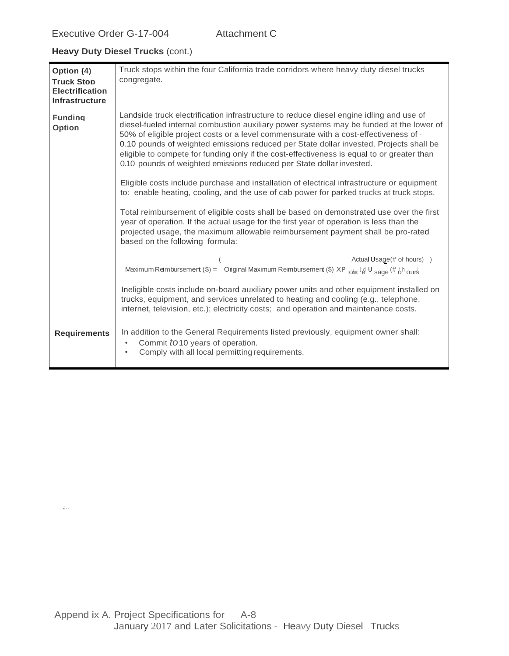,;..

| Option (4)<br><b>Truck Stop</b><br><b>Electrification</b><br><b>Infrastructure</b> | Truck stops within the four California trade corridors where heavy duty diesel trucks<br>congregate.                                                                                                                                                                                                                                                                                                                                                                                                                                             |
|------------------------------------------------------------------------------------|--------------------------------------------------------------------------------------------------------------------------------------------------------------------------------------------------------------------------------------------------------------------------------------------------------------------------------------------------------------------------------------------------------------------------------------------------------------------------------------------------------------------------------------------------|
| <b>Funding</b><br><b>Option</b>                                                    | Landside truck electrification infrastructure to reduce diesel engine idling and use of<br>diesel-fueled internal combustion auxiliary power systems may be funded at the lower of<br>50% of eligible project costs or a level commensurate with a cost-effectiveness of $\cdot$<br>0.10 pounds of weighted emissions reduced per State dollar invested. Projects shall be<br>eligible to compete for funding only if the cost-effectiveness is equal to or greater than<br>0.10 pounds of weighted emissions reduced per State dollar invested. |
|                                                                                    | Eligible costs include purchase and installation of electrical infrastructure or equipment<br>to: enable heating, cooling, and the use of cab power for parked trucks at truck stops.                                                                                                                                                                                                                                                                                                                                                            |
|                                                                                    | Total reimbursement of eligible costs shall be based on demonstrated use over the first<br>year of operation. If the actual usage for the first year of operation is less than the<br>projected usage, the maximum allowable reimbursement payment shall be pro-rated<br>based on the following formula:                                                                                                                                                                                                                                         |
|                                                                                    | Actual Usage(# of hours) )<br>Maximum Reimbursement (\$) = Original Maximum Reimbursement (\$) $XP_{\text{node}}$ <sup>1</sup> & U sage (# $\delta$ h ours                                                                                                                                                                                                                                                                                                                                                                                       |
|                                                                                    | Ineligible costs include on-board auxiliary power units and other equipment installed on<br>trucks, equipment, and services unrelated to heating and cooling (e.g., telephone,<br>internet, television, etc.); electricity costs; and operation and maintenance costs.                                                                                                                                                                                                                                                                           |
| <b>Requirements</b>                                                                | In addition to the General Requirements listed previously, equipment owner shall:<br>Commit to 10 years of operation.<br>$\bullet$<br>Comply with all local permitting requirements.<br>$\bullet$                                                                                                                                                                                                                                                                                                                                                |